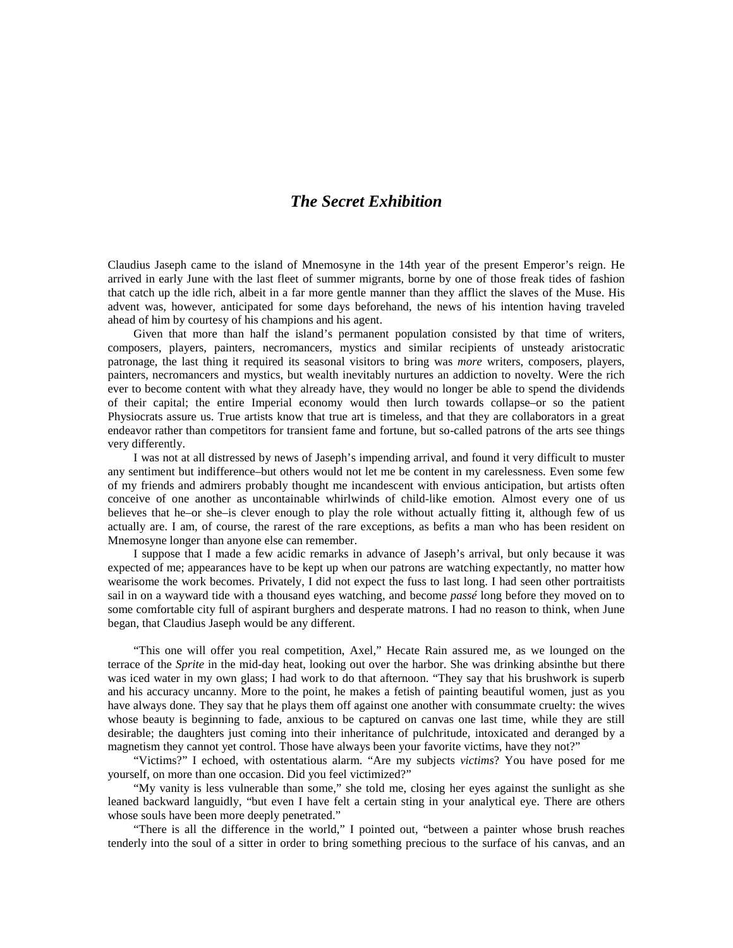## *The Secret Exhibition*

Claudius Jaseph came to the island of Mnemosyne in the 14th year of the present Emperor's reign. He arrived in early June with the last fleet of summer migrants, borne by one of those freak tides of fashion that catch up the idle rich, albeit in a far more gentle manner than they afflict the slaves of the Muse. His advent was, however, anticipated for some days beforehand, the news of his intention having traveled ahead of him by courtesy of his champions and his agent.

Given that more than half the island's permanent population consisted by that time of writers, composers, players, painters, necromancers, mystics and similar recipients of unsteady aristocratic patronage, the last thing it required its seasonal visitors to bring was *more* writers, composers, players, painters, necromancers and mystics, but wealth inevitably nurtures an addiction to novelty. Were the rich ever to become content with what they already have, they would no longer be able to spend the dividends of their capital; the entire Imperial economy would then lurch towards collapse–or so the patient Physiocrats assure us. True artists know that true art is timeless, and that they are collaborators in a great endeavor rather than competitors for transient fame and fortune, but so-called patrons of the arts see things very differently.

I was not at all distressed by news of Jaseph's impending arrival, and found it very difficult to muster any sentiment but indifference–but others would not let me be content in my carelessness. Even some few of my friends and admirers probably thought me incandescent with envious anticipation, but artists often conceive of one another as uncontainable whirlwinds of child-like emotion. Almost every one of us believes that he–or she–is clever enough to play the role without actually fitting it, although few of us actually are. I am, of course, the rarest of the rare exceptions, as befits a man who has been resident on Mnemosyne longer than anyone else can remember.

I suppose that I made a few acidic remarks in advance of Jaseph's arrival, but only because it was expected of me; appearances have to be kept up when our patrons are watching expectantly, no matter how wearisome the work becomes. Privately, I did not expect the fuss to last long. I had seen other portraitists sail in on a wayward tide with a thousand eyes watching, and become *passé* long before they moved on to some comfortable city full of aspirant burghers and desperate matrons. I had no reason to think, when June began, that Claudius Jaseph would be any different.

"This one will offer you real competition, Axel," Hecate Rain assured me, as we lounged on the terrace of the *Sprite* in the mid-day heat, looking out over the harbor. She was drinking absinthe but there was iced water in my own glass; I had work to do that afternoon. "They say that his brushwork is superb and his accuracy uncanny. More to the point, he makes a fetish of painting beautiful women, just as you have always done. They say that he plays them off against one another with consummate cruelty: the wives whose beauty is beginning to fade, anxious to be captured on canvas one last time, while they are still desirable; the daughters just coming into their inheritance of pulchritude, intoxicated and deranged by a magnetism they cannot yet control. Those have always been your favorite victims, have they not?"

"Victims?" I echoed, with ostentatious alarm. "Are my subjects *victims*? You have posed for me yourself, on more than one occasion. Did you feel victimized?"

"My vanity is less vulnerable than some," she told me, closing her eyes against the sunlight as she leaned backward languidly, "but even I have felt a certain sting in your analytical eye. There are others whose souls have been more deeply penetrated."

"There is all the difference in the world," I pointed out, "between a painter whose brush reaches tenderly into the soul of a sitter in order to bring something precious to the surface of his canvas, and an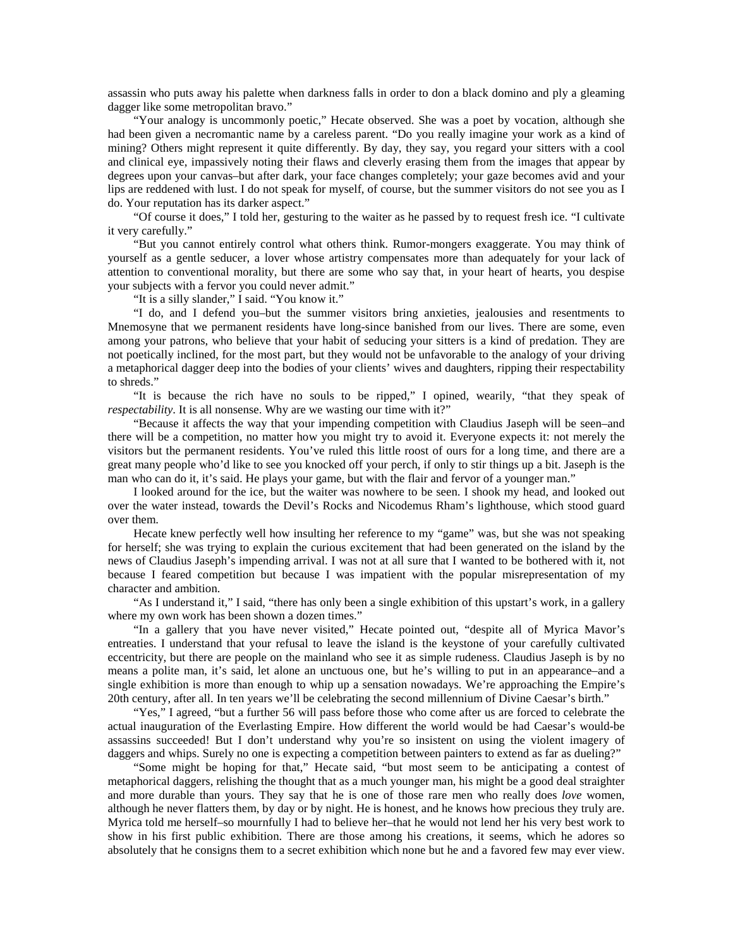assassin who puts away his palette when darkness falls in order to don a black domino and ply a gleaming dagger like some metropolitan bravo."

"Your analogy is uncommonly poetic," Hecate observed. She was a poet by vocation, although she had been given a necromantic name by a careless parent. "Do you really imagine your work as a kind of mining? Others might represent it quite differently. By day, they say, you regard your sitters with a cool and clinical eye, impassively noting their flaws and cleverly erasing them from the images that appear by degrees upon your canvas–but after dark, your face changes completely; your gaze becomes avid and your lips are reddened with lust. I do not speak for myself, of course, but the summer visitors do not see you as I do. Your reputation has its darker aspect."

"Of course it does," I told her, gesturing to the waiter as he passed by to request fresh ice. "I cultivate it very carefully."

"But you cannot entirely control what others think. Rumor-mongers exaggerate. You may think of yourself as a gentle seducer, a lover whose artistry compensates more than adequately for your lack of attention to conventional morality, but there are some who say that, in your heart of hearts, you despise your subjects with a fervor you could never admit."

"It is a silly slander," I said. "You know it."

"I do, and I defend you–but the summer visitors bring anxieties, jealousies and resentments to Mnemosyne that we permanent residents have long-since banished from our lives. There are some, even among your patrons, who believe that your habit of seducing your sitters is a kind of predation. They are not poetically inclined, for the most part, but they would not be unfavorable to the analogy of your driving a metaphorical dagger deep into the bodies of your clients' wives and daughters, ripping their respectability to shreds."

"It is because the rich have no souls to be ripped," I opined, wearily, "that they speak of *respectability*. It is all nonsense. Why are we wasting our time with it?"

"Because it affects the way that your impending competition with Claudius Jaseph will be seen–and there will be a competition, no matter how you might try to avoid it. Everyone expects it: not merely the visitors but the permanent residents. You've ruled this little roost of ours for a long time, and there are a great many people who'd like to see you knocked off your perch, if only to stir things up a bit. Jaseph is the man who can do it, it's said. He plays your game, but with the flair and fervor of a younger man."

I looked around for the ice, but the waiter was nowhere to be seen. I shook my head, and looked out over the water instead, towards the Devil's Rocks and Nicodemus Rham's lighthouse, which stood guard over them.

Hecate knew perfectly well how insulting her reference to my "game" was, but she was not speaking for herself; she was trying to explain the curious excitement that had been generated on the island by the news of Claudius Jaseph's impending arrival. I was not at all sure that I wanted to be bothered with it, not because I feared competition but because I was impatient with the popular misrepresentation of my character and ambition.

"As I understand it," I said, "there has only been a single exhibition of this upstart's work, in a gallery where my own work has been shown a dozen times."

"In a gallery that you have never visited," Hecate pointed out, "despite all of Myrica Mavor's entreaties. I understand that your refusal to leave the island is the keystone of your carefully cultivated eccentricity, but there are people on the mainland who see it as simple rudeness. Claudius Jaseph is by no means a polite man, it's said, let alone an unctuous one, but he's willing to put in an appearance–and a single exhibition is more than enough to whip up a sensation nowadays. We're approaching the Empire's 20th century, after all. In ten years we'll be celebrating the second millennium of Divine Caesar's birth."

"Yes," I agreed, "but a further 56 will pass before those who come after us are forced to celebrate the actual inauguration of the Everlasting Empire. How different the world would be had Caesar's would-be assassins succeeded! But I don't understand why you're so insistent on using the violent imagery of daggers and whips. Surely no one is expecting a competition between painters to extend as far as dueling?"

"Some might be hoping for that," Hecate said, "but most seem to be anticipating a contest of metaphorical daggers, relishing the thought that as a much younger man, his might be a good deal straighter and more durable than yours. They say that he is one of those rare men who really does *love* women, although he never flatters them, by day or by night. He is honest, and he knows how precious they truly are. Myrica told me herself–so mournfully I had to believe her–that he would not lend her his very best work to show in his first public exhibition. There are those among his creations, it seems, which he adores so absolutely that he consigns them to a secret exhibition which none but he and a favored few may ever view.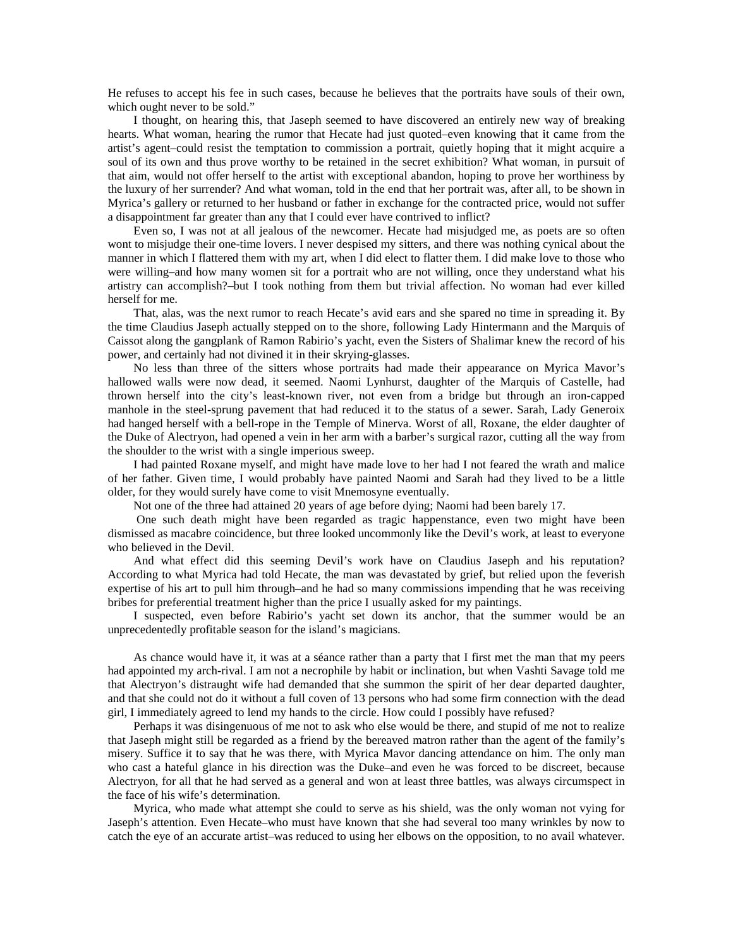He refuses to accept his fee in such cases, because he believes that the portraits have souls of their own, which ought never to be sold."

I thought, on hearing this, that Jaseph seemed to have discovered an entirely new way of breaking hearts. What woman, hearing the rumor that Hecate had just quoted–even knowing that it came from the artist's agent–could resist the temptation to commission a portrait, quietly hoping that it might acquire a soul of its own and thus prove worthy to be retained in the secret exhibition? What woman, in pursuit of that aim, would not offer herself to the artist with exceptional abandon, hoping to prove her worthiness by the luxury of her surrender? And what woman, told in the end that her portrait was, after all, to be shown in Myrica's gallery or returned to her husband or father in exchange for the contracted price, would not suffer a disappointment far greater than any that I could ever have contrived to inflict?

Even so, I was not at all jealous of the newcomer. Hecate had misjudged me, as poets are so often wont to misjudge their one-time lovers. I never despised my sitters, and there was nothing cynical about the manner in which I flattered them with my art, when I did elect to flatter them. I did make love to those who were willing–and how many women sit for a portrait who are not willing, once they understand what his artistry can accomplish?–but I took nothing from them but trivial affection. No woman had ever killed herself for me.

That, alas, was the next rumor to reach Hecate's avid ears and she spared no time in spreading it. By the time Claudius Jaseph actually stepped on to the shore, following Lady Hintermann and the Marquis of Caissot along the gangplank of Ramon Rabirio's yacht, even the Sisters of Shalimar knew the record of his power, and certainly had not divined it in their skrying-glasses.

No less than three of the sitters whose portraits had made their appearance on Myrica Mavor's hallowed walls were now dead, it seemed. Naomi Lynhurst, daughter of the Marquis of Castelle, had thrown herself into the city's least-known river, not even from a bridge but through an iron-capped manhole in the steel-sprung pavement that had reduced it to the status of a sewer. Sarah, Lady Generoix had hanged herself with a bell-rope in the Temple of Minerva. Worst of all, Roxane, the elder daughter of the Duke of Alectryon, had opened a vein in her arm with a barber's surgical razor, cutting all the way from the shoulder to the wrist with a single imperious sweep.

I had painted Roxane myself, and might have made love to her had I not feared the wrath and malice of her father. Given time, I would probably have painted Naomi and Sarah had they lived to be a little older, for they would surely have come to visit Mnemosyne eventually.

Not one of the three had attained 20 years of age before dying; Naomi had been barely 17.

 One such death might have been regarded as tragic happenstance, even two might have been dismissed as macabre coincidence, but three looked uncommonly like the Devil's work, at least to everyone who believed in the Devil.

And what effect did this seeming Devil's work have on Claudius Jaseph and his reputation? According to what Myrica had told Hecate, the man was devastated by grief, but relied upon the feverish expertise of his art to pull him through–and he had so many commissions impending that he was receiving bribes for preferential treatment higher than the price I usually asked for my paintings.

I suspected, even before Rabirio's yacht set down its anchor, that the summer would be an unprecedentedly profitable season for the island's magicians.

As chance would have it, it was at a séance rather than a party that I first met the man that my peers had appointed my arch-rival. I am not a necrophile by habit or inclination, but when Vashti Savage told me that Alectryon's distraught wife had demanded that she summon the spirit of her dear departed daughter, and that she could not do it without a full coven of 13 persons who had some firm connection with the dead girl, I immediately agreed to lend my hands to the circle. How could I possibly have refused?

Perhaps it was disingenuous of me not to ask who else would be there, and stupid of me not to realize that Jaseph might still be regarded as a friend by the bereaved matron rather than the agent of the family's misery. Suffice it to say that he was there, with Myrica Mavor dancing attendance on him. The only man who cast a hateful glance in his direction was the Duke–and even he was forced to be discreet, because Alectryon, for all that he had served as a general and won at least three battles, was always circumspect in the face of his wife's determination.

Myrica, who made what attempt she could to serve as his shield, was the only woman not vying for Jaseph's attention. Even Hecate–who must have known that she had several too many wrinkles by now to catch the eye of an accurate artist–was reduced to using her elbows on the opposition, to no avail whatever.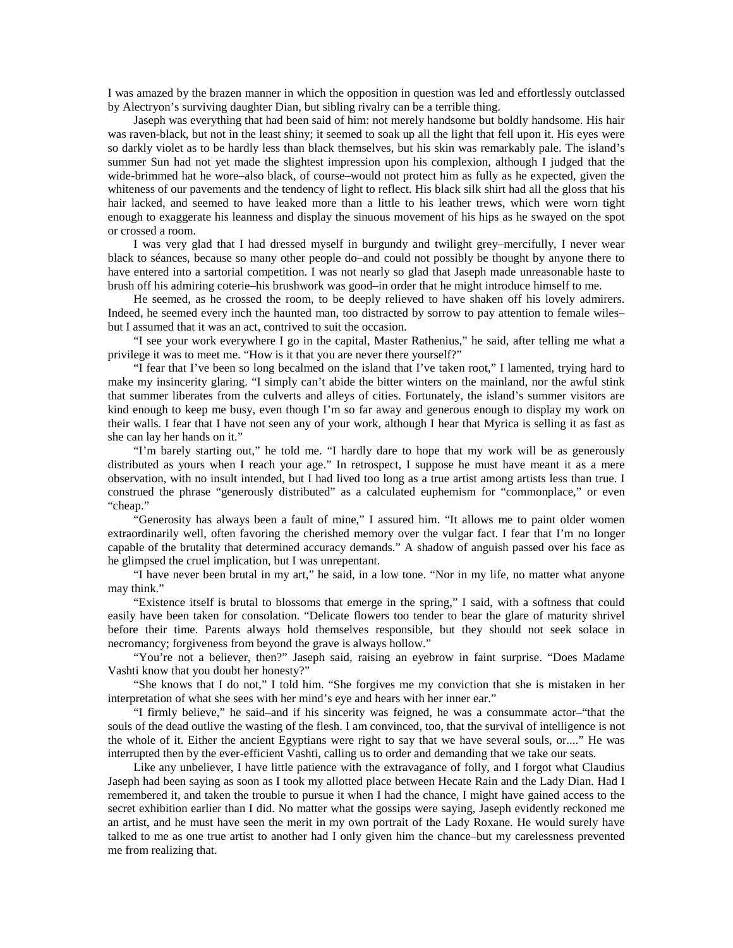I was amazed by the brazen manner in which the opposition in question was led and effortlessly outclassed by Alectryon's surviving daughter Dian, but sibling rivalry can be a terrible thing.

Jaseph was everything that had been said of him: not merely handsome but boldly handsome. His hair was raven-black, but not in the least shiny; it seemed to soak up all the light that fell upon it. His eyes were so darkly violet as to be hardly less than black themselves, but his skin was remarkably pale. The island's summer Sun had not yet made the slightest impression upon his complexion, although I judged that the wide-brimmed hat he wore–also black, of course–would not protect him as fully as he expected, given the whiteness of our pavements and the tendency of light to reflect. His black silk shirt had all the gloss that his hair lacked, and seemed to have leaked more than a little to his leather trews, which were worn tight enough to exaggerate his leanness and display the sinuous movement of his hips as he swayed on the spot or crossed a room.

I was very glad that I had dressed myself in burgundy and twilight grey–mercifully, I never wear black to séances, because so many other people do–and could not possibly be thought by anyone there to have entered into a sartorial competition. I was not nearly so glad that Jaseph made unreasonable haste to brush off his admiring coterie–his brushwork was good–in order that he might introduce himself to me.

He seemed, as he crossed the room, to be deeply relieved to have shaken off his lovely admirers. Indeed, he seemed every inch the haunted man, too distracted by sorrow to pay attention to female wiles– but I assumed that it was an act, contrived to suit the occasion.

"I see your work everywhere I go in the capital, Master Rathenius," he said, after telling me what a privilege it was to meet me. "How is it that you are never there yourself?"

"I fear that I've been so long becalmed on the island that I've taken root," I lamented, trying hard to make my insincerity glaring. "I simply can't abide the bitter winters on the mainland, nor the awful stink that summer liberates from the culverts and alleys of cities. Fortunately, the island's summer visitors are kind enough to keep me busy, even though I'm so far away and generous enough to display my work on their walls. I fear that I have not seen any of your work, although I hear that Myrica is selling it as fast as she can lay her hands on it."

"I'm barely starting out," he told me. "I hardly dare to hope that my work will be as generously distributed as yours when I reach your age." In retrospect, I suppose he must have meant it as a mere observation, with no insult intended, but I had lived too long as a true artist among artists less than true. I construed the phrase "generously distributed" as a calculated euphemism for "commonplace," or even "cheap."

"Generosity has always been a fault of mine," I assured him. "It allows me to paint older women extraordinarily well, often favoring the cherished memory over the vulgar fact. I fear that I'm no longer capable of the brutality that determined accuracy demands." A shadow of anguish passed over his face as he glimpsed the cruel implication, but I was unrepentant.

"I have never been brutal in my art," he said, in a low tone. "Nor in my life, no matter what anyone may think."

"Existence itself is brutal to blossoms that emerge in the spring," I said, with a softness that could easily have been taken for consolation. "Delicate flowers too tender to bear the glare of maturity shrivel before their time. Parents always hold themselves responsible, but they should not seek solace in necromancy; forgiveness from beyond the grave is always hollow."

"You're not a believer, then?" Jaseph said, raising an eyebrow in faint surprise. "Does Madame Vashti know that you doubt her honesty?"

"She knows that I do not," I told him. "She forgives me my conviction that she is mistaken in her interpretation of what she sees with her mind's eye and hears with her inner ear."

"I firmly believe," he said–and if his sincerity was feigned, he was a consummate actor–"that the souls of the dead outlive the wasting of the flesh. I am convinced, too, that the survival of intelligence is not the whole of it. Either the ancient Egyptians were right to say that we have several souls, or...." He was interrupted then by the ever-efficient Vashti, calling us to order and demanding that we take our seats.

Like any unbeliever, I have little patience with the extravagance of folly, and I forgot what Claudius Jaseph had been saying as soon as I took my allotted place between Hecate Rain and the Lady Dian. Had I remembered it, and taken the trouble to pursue it when I had the chance, I might have gained access to the secret exhibition earlier than I did. No matter what the gossips were saying, Jaseph evidently reckoned me an artist, and he must have seen the merit in my own portrait of the Lady Roxane. He would surely have talked to me as one true artist to another had I only given him the chance–but my carelessness prevented me from realizing that.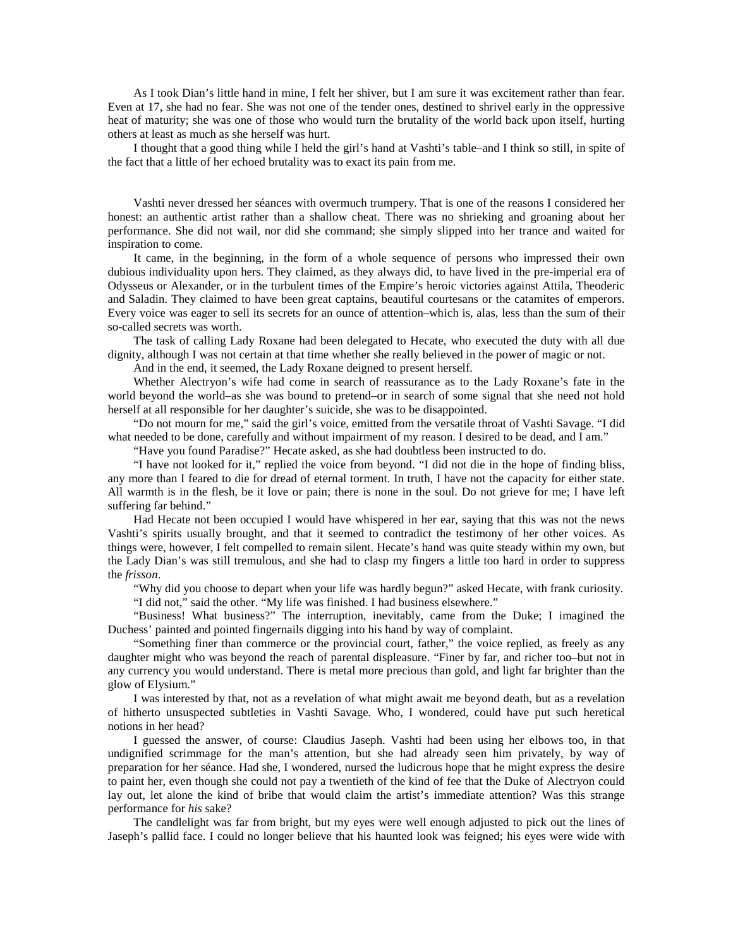As I took Dian's little hand in mine, I felt her shiver, but I am sure it was excitement rather than fear. Even at 17, she had no fear. She was not one of the tender ones, destined to shrivel early in the oppressive heat of maturity; she was one of those who would turn the brutality of the world back upon itself, hurting others at least as much as she herself was hurt.

I thought that a good thing while I held the girl's hand at Vashti's table–and I think so still, in spite of the fact that a little of her echoed brutality was to exact its pain from me.

Vashti never dressed her séances with overmuch trumpery. That is one of the reasons I considered her honest: an authentic artist rather than a shallow cheat. There was no shrieking and groaning about her performance. She did not wail, nor did she command; she simply slipped into her trance and waited for inspiration to come.

It came, in the beginning, in the form of a whole sequence of persons who impressed their own dubious individuality upon hers. They claimed, as they always did, to have lived in the pre-imperial era of Odysseus or Alexander, or in the turbulent times of the Empire's heroic victories against Attila, Theoderic and Saladin. They claimed to have been great captains, beautiful courtesans or the catamites of emperors. Every voice was eager to sell its secrets for an ounce of attention–which is, alas, less than the sum of their so-called secrets was worth.

The task of calling Lady Roxane had been delegated to Hecate, who executed the duty with all due dignity, although I was not certain at that time whether she really believed in the power of magic or not.

And in the end, it seemed, the Lady Roxane deigned to present herself.

Whether Alectryon's wife had come in search of reassurance as to the Lady Roxane's fate in the world beyond the world–as she was bound to pretend–or in search of some signal that she need not hold herself at all responsible for her daughter's suicide, she was to be disappointed.

"Do not mourn for me," said the girl's voice, emitted from the versatile throat of Vashti Savage. "I did what needed to be done, carefully and without impairment of my reason. I desired to be dead, and I am."

"Have you found Paradise?" Hecate asked, as she had doubtless been instructed to do.

"I have not looked for it," replied the voice from beyond. "I did not die in the hope of finding bliss, any more than I feared to die for dread of eternal torment. In truth, I have not the capacity for either state. All warmth is in the flesh, be it love or pain; there is none in the soul. Do not grieve for me; I have left suffering far behind."

Had Hecate not been occupied I would have whispered in her ear, saying that this was not the news Vashti's spirits usually brought, and that it seemed to contradict the testimony of her other voices. As things were, however, I felt compelled to remain silent. Hecate's hand was quite steady within my own, but the Lady Dian's was still tremulous, and she had to clasp my fingers a little too hard in order to suppress the *frisson*.

"Why did you choose to depart when your life was hardly begun?" asked Hecate, with frank curiosity. "I did not," said the other. "My life was finished. I had business elsewhere."

"Business! What business?" The interruption, inevitably, came from the Duke; I imagined the Duchess' painted and pointed fingernails digging into his hand by way of complaint.

"Something finer than commerce or the provincial court, father," the voice replied, as freely as any daughter might who was beyond the reach of parental displeasure. "Finer by far, and richer too–but not in any currency you would understand. There is metal more precious than gold, and light far brighter than the glow of Elysium."

I was interested by that, not as a revelation of what might await me beyond death, but as a revelation of hitherto unsuspected subtleties in Vashti Savage. Who, I wondered, could have put such heretical notions in her head?

I guessed the answer, of course: Claudius Jaseph. Vashti had been using her elbows too, in that undignified scrimmage for the man's attention, but she had already seen him privately, by way of preparation for her séance. Had she, I wondered, nursed the ludicrous hope that he might express the desire to paint her, even though she could not pay a twentieth of the kind of fee that the Duke of Alectryon could lay out, let alone the kind of bribe that would claim the artist's immediate attention? Was this strange performance for *his* sake?

The candlelight was far from bright, but my eyes were well enough adjusted to pick out the lines of Jaseph's pallid face. I could no longer believe that his haunted look was feigned; his eyes were wide with